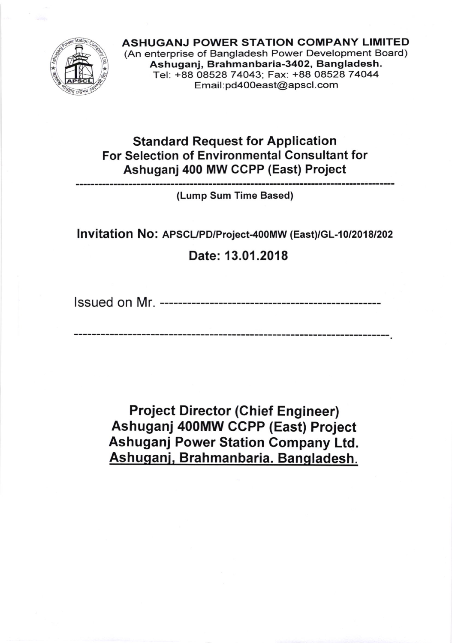

ASHUGANJ POWER STATION COMPANY LIMITED (An enterprise of Bangladesh Power Development Board) Ashuganj, Brahmanbaria-3402, Bangladesh. Tel: +88 08528 74043; Fax: +88 08528 74044 Email : pd40Oeast@apscl.com

## Standard Request for Application For Selection of Environmental Consultant for Ashuganj 400 MW CCPP (East) Project

(Lump Sum Time Based)

Invitation No: APSCL/PD/Project-400MW (East)/GL-10/2018/202

Date: 13.01 .2018

lssued on Mr.

Project Director (Ghief Engineer) Ashuganj 400MW CCPP (East) Project Ashuganj Power Station Company Ltd. Ashuganj, Brahmanbaria. Bangladesh.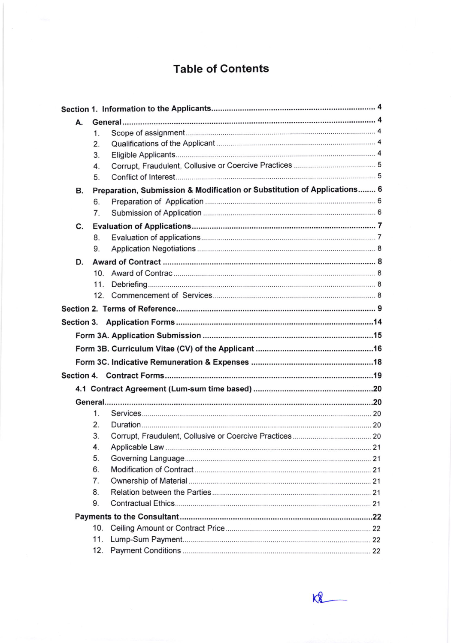## Table of Contents

| А. |                 |                                                                          |  |  |
|----|-----------------|--------------------------------------------------------------------------|--|--|
|    | 1.              |                                                                          |  |  |
|    | 2.              |                                                                          |  |  |
|    | 3.              |                                                                          |  |  |
|    | 4.              |                                                                          |  |  |
|    | 5.              |                                                                          |  |  |
| В. |                 | Preparation, Submission & Modification or Substitution of Applications 6 |  |  |
|    | 6.              |                                                                          |  |  |
|    | 7.              |                                                                          |  |  |
| C. |                 |                                                                          |  |  |
|    | 8.              |                                                                          |  |  |
|    | 9.              |                                                                          |  |  |
| D. |                 |                                                                          |  |  |
|    | 10.             |                                                                          |  |  |
|    | 11.             |                                                                          |  |  |
|    |                 |                                                                          |  |  |
|    |                 |                                                                          |  |  |
|    |                 |                                                                          |  |  |
|    |                 |                                                                          |  |  |
|    |                 |                                                                          |  |  |
|    |                 |                                                                          |  |  |
|    |                 |                                                                          |  |  |
|    |                 |                                                                          |  |  |
|    |                 |                                                                          |  |  |
|    | $\mathbf{1}$ .  |                                                                          |  |  |
|    | 2.              |                                                                          |  |  |
|    | 3.              |                                                                          |  |  |
|    | 4.              |                                                                          |  |  |
|    | 5.              |                                                                          |  |  |
|    | 6.              |                                                                          |  |  |
|    | 7.              |                                                                          |  |  |
|    | 8.              |                                                                          |  |  |
|    | 9.              |                                                                          |  |  |
|    |                 |                                                                          |  |  |
|    | 10 <sub>1</sub> |                                                                          |  |  |
|    | 11.             |                                                                          |  |  |
|    | 12.             |                                                                          |  |  |